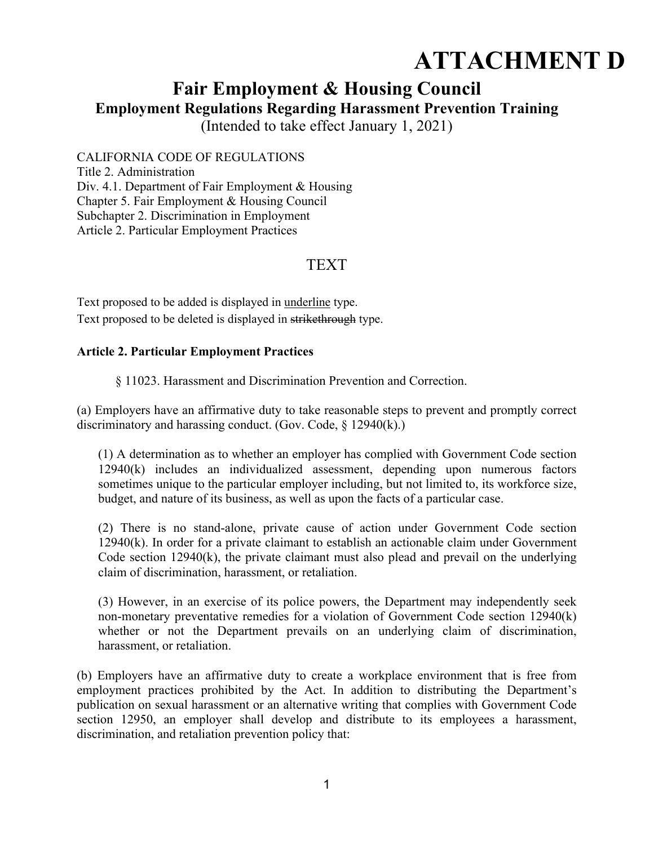# **ATTACHMENT D**

## **Fair Employment & Housing Council**

**Employment Regulations Regarding Harassment Prevention Training** 

(Intended to take effect January 1, 2021)

CALIFORNIA CODE OF REGULATIONS

Title 2. Administration Div. 4.1. Department of Fair Employment & Housing Chapter 5. Fair Employment & Housing Council Subchapter 2. Discrimination in Employment Article 2. Particular Employment Practices

## TEXT

Text proposed to be added is displayed in underline type. Text proposed to be deleted is displayed in strikethrough type.

### **Article 2. Particular Employment Practices**

§ 11023. Harassment and Discrimination Prevention and Correction.

(a) Employers have an affirmative duty to take reasonable steps to prevent and promptly correct discriminatory and harassing conduct. (Gov. Code, § 12940(k).)

(1) A determination as to whether an employer has complied with Government Code section 12940(k) includes an individualized assessment, depending upon numerous factors sometimes unique to the particular employer including, but not limited to, its workforce size, budget, and nature of its business, as well as upon the facts of a particular case.

(2) There is no stand-alone, private cause of action under Government Code section 12940(k). In order for a private claimant to establish an actionable claim under Government Code section 12940(k), the private claimant must also plead and prevail on the underlying claim of discrimination, harassment, or retaliation.

(3) However, in an exercise of its police powers, the Department may independently seek non-monetary preventative remedies for a violation of Government Code section 12940(k) whether or not the Department prevails on an underlying claim of discrimination, harassment, or retaliation.

(b) Employers have an affirmative duty to create a workplace environment that is free from employment practices prohibited by the Act. In addition to distributing the Department's publication on sexual harassment or an alternative writing that complies with Government Code section 12950, an employer shall develop and distribute to its employees a harassment, discrimination, and retaliation prevention policy that: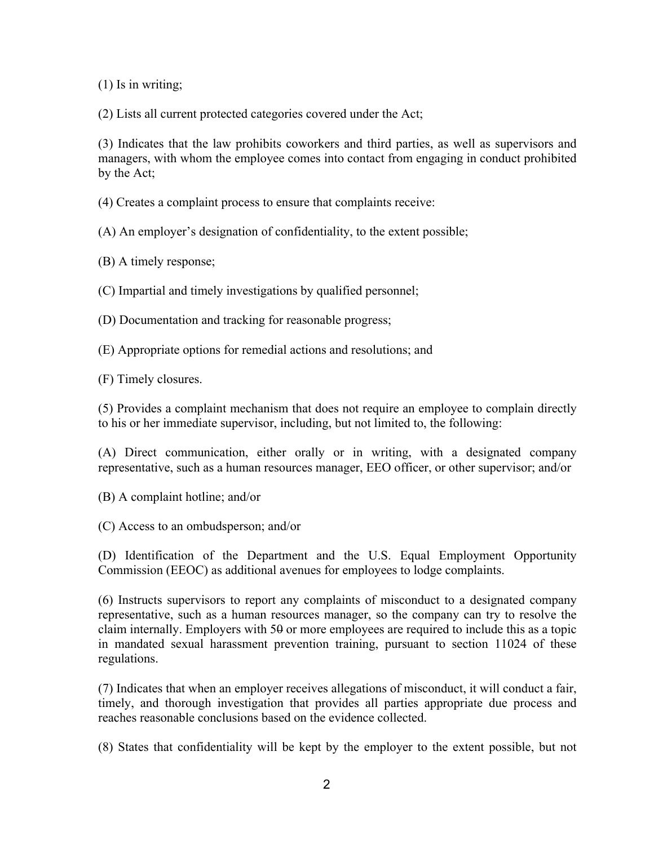(1) Is in writing;

(2) Lists all current protected categories covered under the Act;

(3) Indicates that the law prohibits coworkers and third parties, as well as supervisors and managers, with whom the employee comes into contact from engaging in conduct prohibited by the Act;

(4) Creates a complaint process to ensure that complaints receive:

(A) An employer's designation of confidentiality, to the extent possible;

(B) A timely response;

(C) Impartial and timely investigations by qualified personnel;

(D) Documentation and tracking for reasonable progress;

(E) Appropriate options for remedial actions and resolutions; and

(F) Timely closures.

(5) Provides a complaint mechanism that does not require an employee to complain directly to his or her immediate supervisor, including, but not limited to, the following:

(A) Direct communication, either orally or in writing, with a designated company representative, such as a human resources manager, EEO officer, or other supervisor; and/or

(B) A complaint hotline; and/or

(C) Access to an ombudsperson; and/or

(D) Identification of the Department and the U.S. Equal Employment Opportunity Commission (EEOC) as additional avenues for employees to lodge complaints.

(6) Instructs supervisors to report any complaints of misconduct to a designated company representative, such as a human resources manager, so the company can try to resolve the claim internally. Employers with 50 or more employees are required to include this as a topic in mandated sexual harassment prevention training, pursuant to section 11024 of these regulations.

(7) Indicates that when an employer receives allegations of misconduct, it will conduct a fair, timely, and thorough investigation that provides all parties appropriate due process and reaches reasonable conclusions based on the evidence collected.

(8) States that confidentiality will be kept by the employer to the extent possible, but not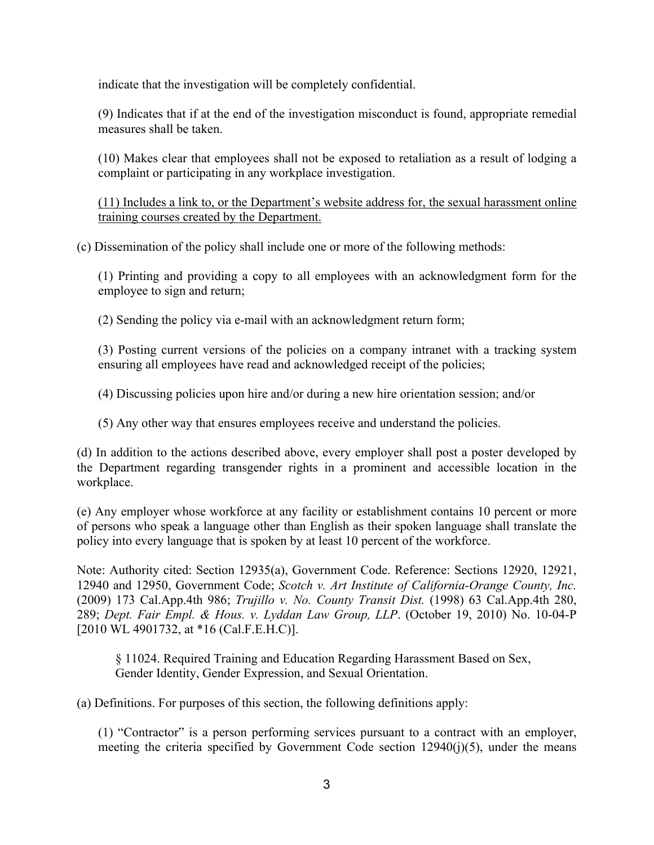indicate that the investigation will be completely confidential.

(9) Indicates that if at the end of the investigation misconduct is found, appropriate remedial measures shall be taken.

(10) Makes clear that employees shall not be exposed to retaliation as a result of lodging a complaint or participating in any workplace investigation.

(11) Includes a link to, or the Department's website address for, the sexual harassment online training courses created by the Department.

(c) Dissemination of the policy shall include one or more of the following methods:

(1) Printing and providing a copy to all employees with an acknowledgment form for the employee to sign and return;

(2) Sending the policy via e-mail with an acknowledgment return form;

(3) Posting current versions of the policies on a company intranet with a tracking system ensuring all employees have read and acknowledged receipt of the policies;

(4) Discussing policies upon hire and/or during a new hire orientation session; and/or

(5) Any other way that ensures employees receive and understand the policies.

(d) In addition to the actions described above, every employer shall post a poster developed by the Department regarding transgender rights in a prominent and accessible location in the workplace.

(e) Any employer whose workforce at any facility or establishment contains 10 percent or more of persons who speak a language other than English as their spoken language shall translate the policy into every language that is spoken by at least 10 percent of the workforce.

Note: Authority cited: Section 12935(a), Government Code. Reference: Sections 12920, 12921, 12940 and 12950, Government Code; *Scotch v. Art Institute of California-Orange County, Inc.* (2009) 173 Cal.App.4th 986; *Trujillo v. No. County Transit Dist.* (1998) 63 Cal.App.4th 280, 289; *Dept. Fair Empl. & Hous. v. Lyddan Law Group, LLP*. (October 19, 2010) No. 10-04-P [2010 WL 4901732, at \*16 (Cal.F.E.H.C)].

§ 11024. Required Training and Education Regarding Harassment Based on Sex, Gender Identity, Gender Expression, and Sexual Orientation.

(a) Definitions. For purposes of this section, the following definitions apply:

(1) "Contractor" is a person performing services pursuant to a contract with an employer, meeting the criteria specified by Government Code section  $12940(i)(5)$ , under the means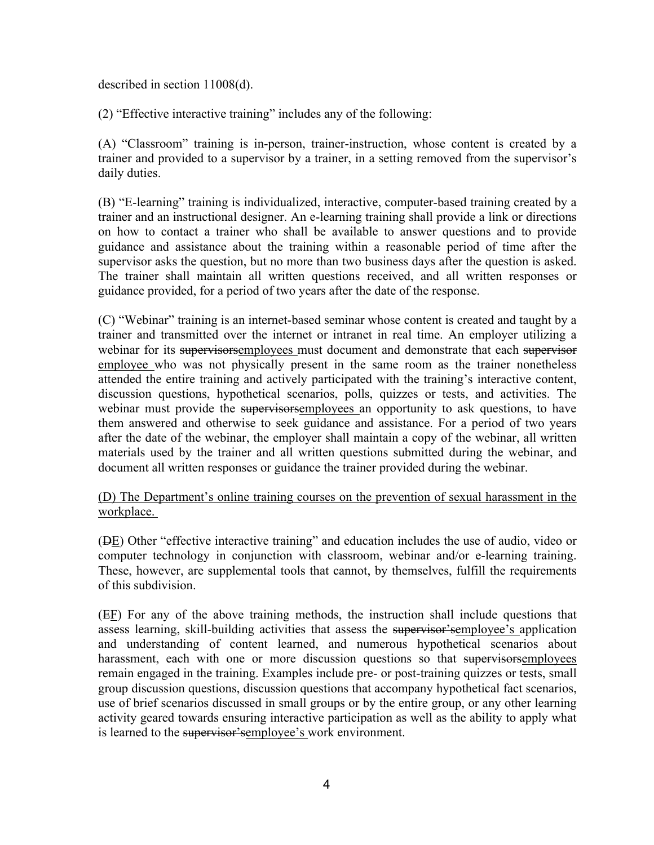described in section 11008(d).

(2) "Effective interactive training" includes any of the following:

(A) "Classroom" training is in-person, trainer-instruction, whose content is created by a trainer and provided to a supervisor by a trainer, in a setting removed from the supervisor's daily duties.

(B) "E-learning" training is individualized, interactive, computer-based training created by a trainer and an instructional designer. An e-learning training shall provide a link or directions on how to contact a trainer who shall be available to answer questions and to provide guidance and assistance about the training within a reasonable period of time after the supervisor asks the question, but no more than two business days after the question is asked. The trainer shall maintain all written questions received, and all written responses or guidance provided, for a period of two years after the date of the response.

(C) "Webinar" training is an internet-based seminar whose content is created and taught by a trainer and transmitted over the internet or intranet in real time. An employer utilizing a webinar for its supervisorsemployees must document and demonstrate that each supervisor employee who was not physically present in the same room as the trainer nonetheless attended the entire training and actively participated with the training's interactive content, discussion questions, hypothetical scenarios, polls, quizzes or tests, and activities. The webinar must provide the supervisorsemployees an opportunity to ask questions, to have them answered and otherwise to seek guidance and assistance. For a period of two years after the date of the webinar, the employer shall maintain a copy of the webinar, all written materials used by the trainer and all written questions submitted during the webinar, and document all written responses or guidance the trainer provided during the webinar.

#### (D) The Department's online training courses on the prevention of sexual harassment in the workplace.

(DE) Other "effective interactive training" and education includes the use of audio, video or computer technology in conjunction with classroom, webinar and/or e-learning training. These, however, are supplemental tools that cannot, by themselves, fulfill the requirements of this subdivision.

(EF) For any of the above training methods, the instruction shall include questions that assess learning, skill-building activities that assess the supervisor'semployee's application and understanding of content learned, and numerous hypothetical scenarios about harassment, each with one or more discussion questions so that supervisorsemployees remain engaged in the training. Examples include pre- or post-training quizzes or tests, small group discussion questions, discussion questions that accompany hypothetical fact scenarios, use of brief scenarios discussed in small groups or by the entire group, or any other learning activity geared towards ensuring interactive participation as well as the ability to apply what is learned to the supervisor's employee's work environment.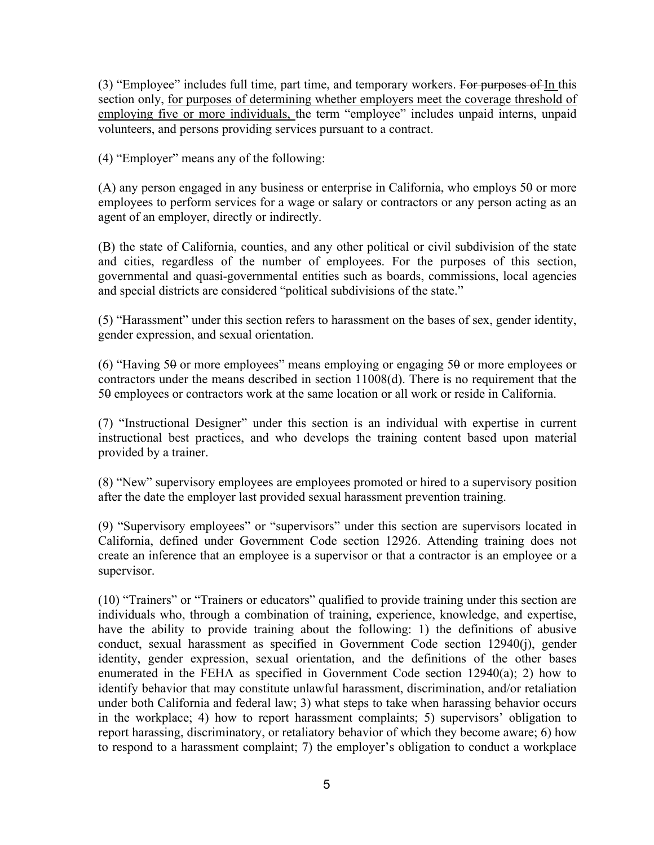(3) "Employee" includes full time, part time, and temporary workers. For purposes of In this section only, for purposes of determining whether employers meet the coverage threshold of employing five or more individuals, the term "employee" includes unpaid interns, unpaid volunteers, and persons providing services pursuant to a contract.

(4) "Employer" means any of the following:

(A) any person engaged in any business or enterprise in California, who employs  $50$  or more employees to perform services for a wage or salary or contractors or any person acting as an agent of an employer, directly or indirectly.

(B) the state of California, counties, and any other political or civil subdivision of the state and cities, regardless of the number of employees. For the purposes of this section, governmental and quasi-governmental entities such as boards, commissions, local agencies and special districts are considered "political subdivisions of the state."

(5) "Harassment" under this section refers to harassment on the bases of sex, gender identity, gender expression, and sexual orientation.

(6) "Having 50 or more employees" means employing or engaging 50 or more employees or contractors under the means described in section 11008(d). There is no requirement that the 50 employees or contractors work at the same location or all work or reside in California.

(7) "Instructional Designer" under this section is an individual with expertise in current instructional best practices, and who develops the training content based upon material provided by a trainer.

(8) "New" supervisory employees are employees promoted or hired to a supervisory position after the date the employer last provided sexual harassment prevention training.

(9) "Supervisory employees" or "supervisors" under this section are supervisors located in California, defined under Government Code section 12926. Attending training does not create an inference that an employee is a supervisor or that a contractor is an employee or a supervisor.

(10) "Trainers" or "Trainers or educators" qualified to provide training under this section are individuals who, through a combination of training, experience, knowledge, and expertise, have the ability to provide training about the following: 1) the definitions of abusive conduct, sexual harassment as specified in Government Code section 12940(j), gender identity, gender expression, sexual orientation, and the definitions of the other bases enumerated in the FEHA as specified in Government Code section 12940(a); 2) how to identify behavior that may constitute unlawful harassment, discrimination, and/or retaliation under both California and federal law; 3) what steps to take when harassing behavior occurs in the workplace; 4) how to report harassment complaints; 5) supervisors' obligation to report harassing, discriminatory, or retaliatory behavior of which they become aware; 6) how to respond to a harassment complaint; 7) the employer's obligation to conduct a workplace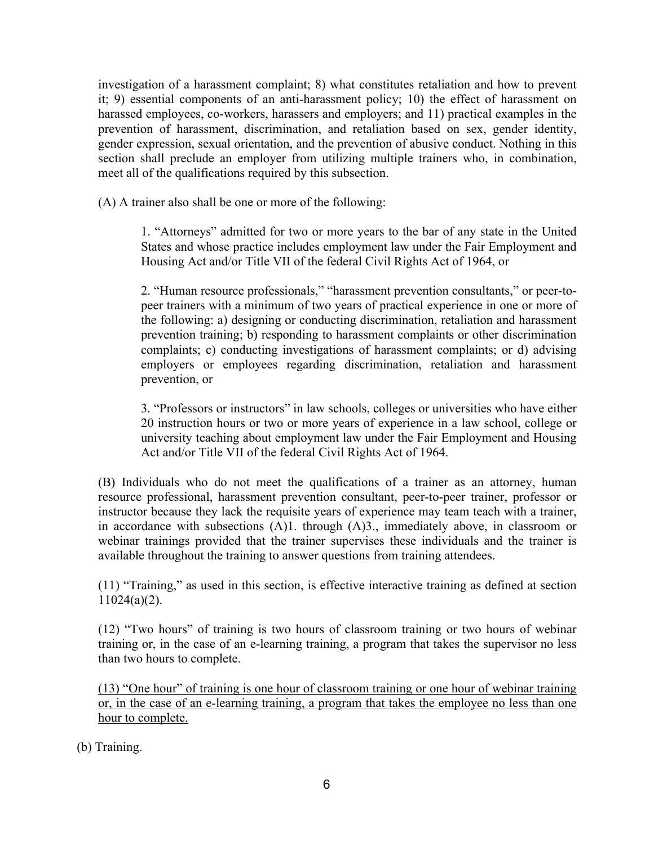investigation of a harassment complaint; 8) what constitutes retaliation and how to prevent it; 9) essential components of an anti-harassment policy; 10) the effect of harassment on harassed employees, co-workers, harassers and employers; and 11) practical examples in the prevention of harassment, discrimination, and retaliation based on sex, gender identity, gender expression, sexual orientation, and the prevention of abusive conduct. Nothing in this section shall preclude an employer from utilizing multiple trainers who, in combination, meet all of the qualifications required by this subsection.

(A) A trainer also shall be one or more of the following:

1. "Attorneys" admitted for two or more years to the bar of any state in the United States and whose practice includes employment law under the Fair Employment and Housing Act and/or Title VII of the federal Civil Rights Act of 1964, or

2. "Human resource professionals," "harassment prevention consultants," or peer-topeer trainers with a minimum of two years of practical experience in one or more of the following: a) designing or conducting discrimination, retaliation and harassment prevention training; b) responding to harassment complaints or other discrimination complaints; c) conducting investigations of harassment complaints; or d) advising employers or employees regarding discrimination, retaliation and harassment prevention, or

3. "Professors or instructors" in law schools, colleges or universities who have either 20 instruction hours or two or more years of experience in a law school, college or university teaching about employment law under the Fair Employment and Housing Act and/or Title VII of the federal Civil Rights Act of 1964.

(B) Individuals who do not meet the qualifications of a trainer as an attorney, human resource professional, harassment prevention consultant, peer-to-peer trainer, professor or instructor because they lack the requisite years of experience may team teach with a trainer, in accordance with subsections (A)1. through (A)3., immediately above, in classroom or webinar trainings provided that the trainer supervises these individuals and the trainer is available throughout the training to answer questions from training attendees.

(11) "Training," as used in this section, is effective interactive training as defined at section 11024(a)(2).

(12) "Two hours" of training is two hours of classroom training or two hours of webinar training or, in the case of an e-learning training, a program that takes the supervisor no less than two hours to complete.

(13) "One hour" of training is one hour of classroom training or one hour of webinar training or, in the case of an e-learning training, a program that takes the employee no less than one hour to complete.

(b) Training.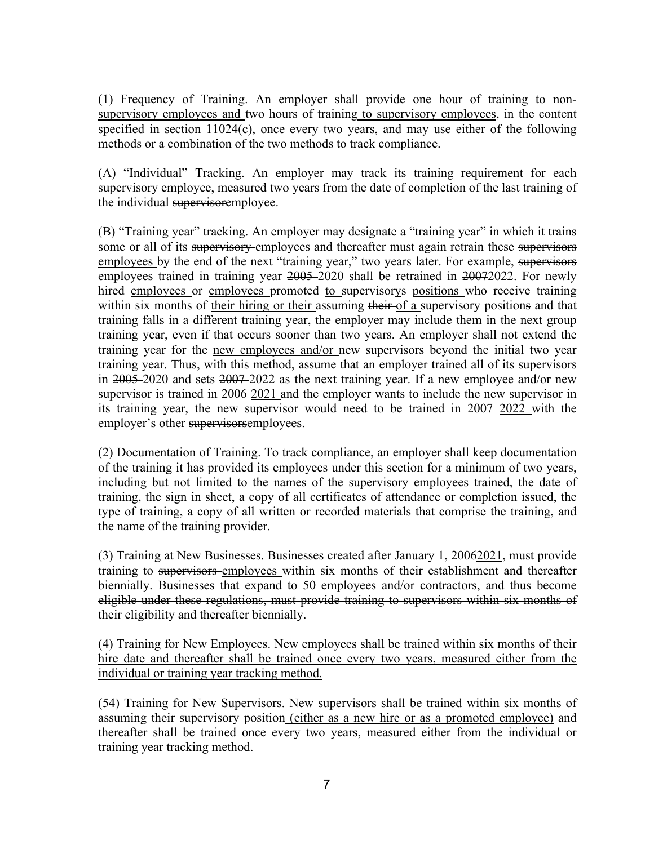(1) Frequency of Training. An employer shall provide one hour of training to nonsupervisory employees and two hours of training to supervisory employees, in the content specified in section 11024(c), once every two years, and may use either of the following methods or a combination of the two methods to track compliance.

(A) "Individual" Tracking. An employer may track its training requirement for each supervisory employee, measured two years from the date of completion of the last training of the individual supervisoremployee.

(B) "Training year" tracking. An employer may designate a "training year" in which it trains some or all of its supervisory employees and thereafter must again retrain these supervisors employees by the end of the next "training year," two years later. For example, supervisors employees trained in training year 2005 2020 shall be retrained in 20072022. For newly hired employees or employees promoted to supervisorys positions who receive training within six months of their hiring or their assuming their of a supervisory positions and that training falls in a different training year, the employer may include them in the next group training year, even if that occurs sooner than two years. An employer shall not extend the training year for the new employees and/or new supervisors beyond the initial two year training year. Thus, with this method, assume that an employer trained all of its supervisors in  $2005 - 2020$  and sets  $2007 - 2022$  as the next training year. If a new employee and/or new supervisor is trained in 2006-2021 and the employer wants to include the new supervisor in its training year, the new supervisor would need to be trained in 2007 2022 with the employer's other supervisorsemployees.

(2) Documentation of Training. To track compliance, an employer shall keep documentation of the training it has provided its employees under this section for a minimum of two years, including but not limited to the names of the supervisory employees trained, the date of training, the sign in sheet, a copy of all certificates of attendance or completion issued, the type of training, a copy of all written or recorded materials that comprise the training, and the name of the training provider.

(3) Training at New Businesses. Businesses created after January 1, 20062021, must provide training to supervisors employees within six months of their establishment and thereafter biennially. Businesses that expand to 50 employees and/or contractors, and thus become eligible under these regulations, must provide training to supervisors within six months of their eligibility and thereafter biennially.

(4) Training for New Employees. New employees shall be trained within six months of their hire date and thereafter shall be trained once every two years, measured either from the individual or training year tracking method.

(54) Training for New Supervisors. New supervisors shall be trained within six months of assuming their supervisory position (either as a new hire or as a promoted employee) and thereafter shall be trained once every two years, measured either from the individual or training year tracking method.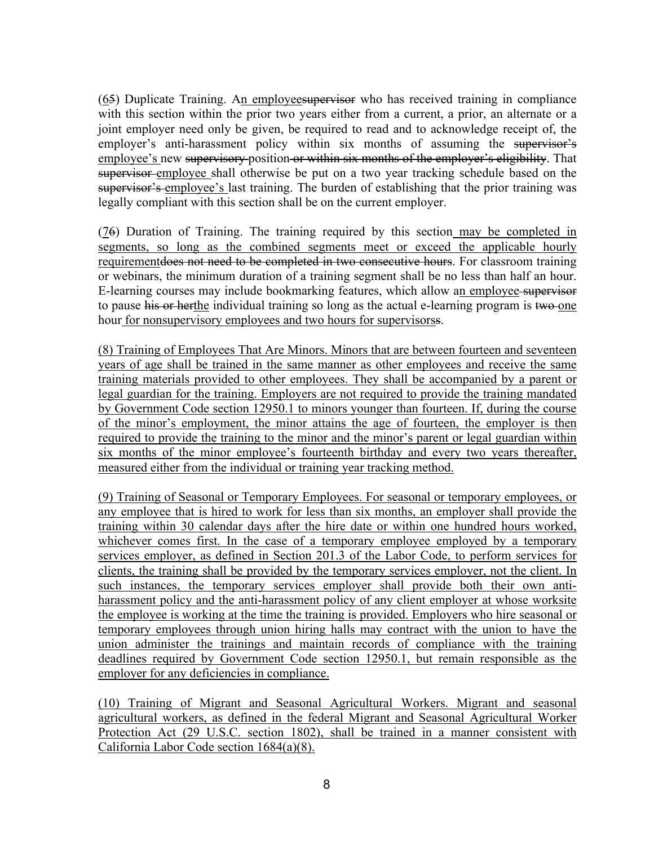(65) Duplicate Training. An employeesupervisor who has received training in compliance with this section within the prior two years either from a current, a prior, an alternate or a joint employer need only be given, be required to read and to acknowledge receipt of, the employer's anti-harassment policy within six months of assuming the supervisor's employee's new supervisory position or within six months of the employer's eligibility. That supervisor employee shall otherwise be put on a two year tracking schedule based on the supervisor's employee's last training. The burden of establishing that the prior training was legally compliant with this section shall be on the current employer.

(76) Duration of Training. The training required by this section may be completed in segments, so long as the combined segments meet or exceed the applicable hourly requirement <del>does not need to be completed in two consecutive hours</del>. For classroom training or webinars, the minimum duration of a training segment shall be no less than half an hour. E-learning courses may include bookmarking features, which allow an employee supervisor to pause his or herthe individual training so long as the actual e-learning program is two one hour for nonsupervisory employees and two hours for supervisorss.

(8) Training of Employees That Are Minors. Minors that are between fourteen and seventeen years of age shall be trained in the same manner as other employees and receive the same training materials provided to other employees. They shall be accompanied by a parent or legal guardian for the training. Employers are not required to provide the training mandated by Government Code section 12950.1 to minors younger than fourteen. If, during the course of the minor's employment, the minor attains the age of fourteen, the employer is then required to provide the training to the minor and the minor's parent or legal guardian within six months of the minor employee's fourteenth birthday and every two years thereafter, measured either from the individual or training year tracking method.

(9) Training of Seasonal or Temporary Employees. For seasonal or temporary employees, or any employee that is hired to work for less than six months, an employer shall provide the training within 30 calendar days after the hire date or within one hundred hours worked, whichever comes first. In the case of a temporary employee employed by a temporary services employer, as defined in Section 201.3 of the Labor Code, to perform services for clients, the training shall be provided by the temporary services employer, not the client. In such instances, the temporary services employer shall provide both their own antiharassment policy and the anti-harassment policy of any client employer at whose worksite the employee is working at the time the training is provided. Employers who hire seasonal or temporary employees through union hiring halls may contract with the union to have the union administer the trainings and maintain records of compliance with the training deadlines required by Government Code section 12950.1, but remain responsible as the employer for any deficiencies in compliance.

(10) Training of Migrant and Seasonal Agricultural Workers. Migrant and seasonal agricultural workers, as defined in the federal Migrant and Seasonal Agricultural Worker Protection Act (29 U.S.C. section 1802), shall be trained in a manner consistent with California Labor Code section 1684(a)(8).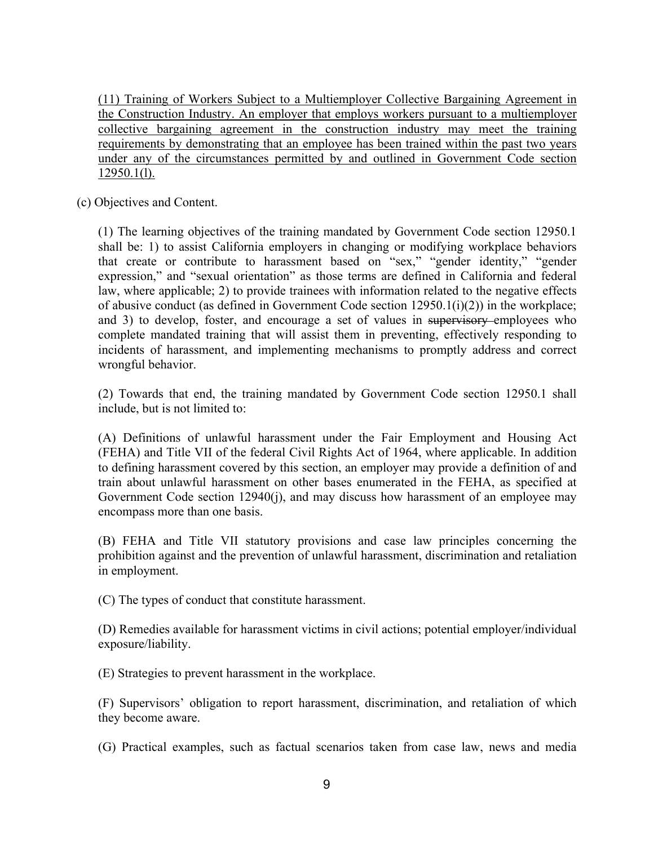(11) Training of Workers Subject to a Multiemployer Collective Bargaining Agreement in the Construction Industry. An employer that employs workers pursuant to a multiemployer collective bargaining agreement in the construction industry may meet the training requirements by demonstrating that an employee has been trained within the past two years under any of the circumstances permitted by and outlined in Government Code section 12950.1(l).

(c) Objectives and Content.

(1) The learning objectives of the training mandated by Government Code section 12950.1 shall be: 1) to assist California employers in changing or modifying workplace behaviors that create or contribute to harassment based on "sex," "gender identity," "gender expression," and "sexual orientation" as those terms are defined in California and federal law, where applicable; 2) to provide trainees with information related to the negative effects of abusive conduct (as defined in Government Code section 12950.1(i)(2)) in the workplace; and 3) to develop, foster, and encourage a set of values in supervisory employees who complete mandated training that will assist them in preventing, effectively responding to incidents of harassment, and implementing mechanisms to promptly address and correct wrongful behavior.

(2) Towards that end, the training mandated by Government Code section 12950.1 shall include, but is not limited to:

(A) Definitions of unlawful harassment under the Fair Employment and Housing Act (FEHA) and Title VII of the federal Civil Rights Act of 1964, where applicable. In addition to defining harassment covered by this section, an employer may provide a definition of and train about unlawful harassment on other bases enumerated in the FEHA, as specified at Government Code section 12940(j), and may discuss how harassment of an employee may encompass more than one basis.

(B) FEHA and Title VII statutory provisions and case law principles concerning the prohibition against and the prevention of unlawful harassment, discrimination and retaliation in employment.

(C) The types of conduct that constitute harassment.

(D) Remedies available for harassment victims in civil actions; potential employer/individual exposure/liability.

(E) Strategies to prevent harassment in the workplace.

(F) Supervisors' obligation to report harassment, discrimination, and retaliation of which they become aware.

(G) Practical examples, such as factual scenarios taken from case law, news and media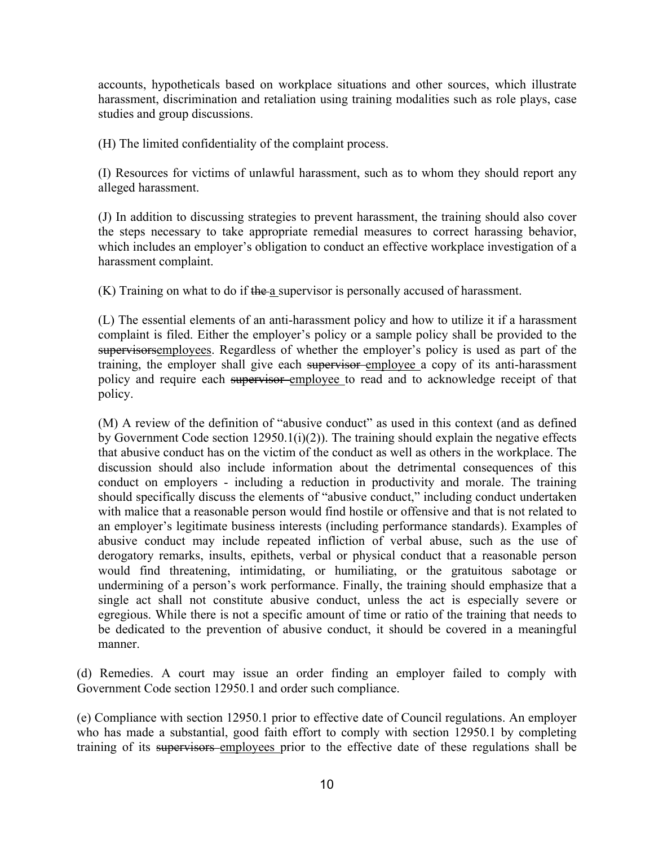accounts, hypotheticals based on workplace situations and other sources, which illustrate harassment, discrimination and retaliation using training modalities such as role plays, case studies and group discussions.

(H) The limited confidentiality of the complaint process.

(I) Resources for victims of unlawful harassment, such as to whom they should report any alleged harassment.

(J) In addition to discussing strategies to prevent harassment, the training should also cover the steps necessary to take appropriate remedial measures to correct harassing behavior, which includes an employer's obligation to conduct an effective workplace investigation of a harassment complaint.

 $(K)$  Training on what to do if the a supervisor is personally accused of harassment.

(L) The essential elements of an anti-harassment policy and how to utilize it if a harassment complaint is filed. Either the employer's policy or a sample policy shall be provided to the supervisorsemployees. Regardless of whether the employer's policy is used as part of the training, the employer shall give each supervisor-employee a copy of its anti-harassment policy and require each supervisor employee to read and to acknowledge receipt of that policy.

(M) A review of the definition of "abusive conduct" as used in this context (and as defined by Government Code section  $12950.1(i)(2)$ ). The training should explain the negative effects that abusive conduct has on the victim of the conduct as well as others in the workplace. The discussion should also include information about the detrimental consequences of this conduct on employers - including a reduction in productivity and morale. The training should specifically discuss the elements of "abusive conduct," including conduct undertaken with malice that a reasonable person would find hostile or offensive and that is not related to an employer's legitimate business interests (including performance standards). Examples of abusive conduct may include repeated infliction of verbal abuse, such as the use of derogatory remarks, insults, epithets, verbal or physical conduct that a reasonable person would find threatening, intimidating, or humiliating, or the gratuitous sabotage or undermining of a person's work performance. Finally, the training should emphasize that a single act shall not constitute abusive conduct, unless the act is especially severe or egregious. While there is not a specific amount of time or ratio of the training that needs to be dedicated to the prevention of abusive conduct, it should be covered in a meaningful manner.

(d) Remedies. A court may issue an order finding an employer failed to comply with Government Code section 12950.1 and order such compliance.

(e) Compliance with section 12950.1 prior to effective date of Council regulations. An employer who has made a substantial, good faith effort to comply with section 12950.1 by completing training of its supervisors employees prior to the effective date of these regulations shall be